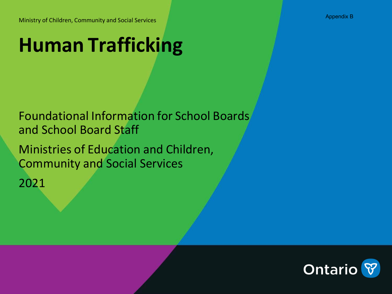Ministry of Children, Community and Social Services

# **Human Trafficking**

Foundational Information for School Boards and School Board Staff

Ministries of Education and Children, Community and Social Services

2021



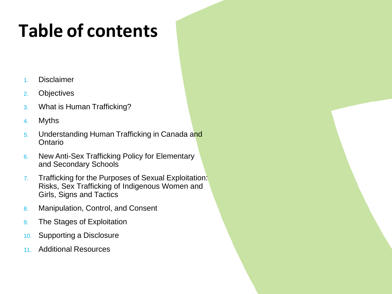# **Table of contents**

- 1. Disclaimer
- 2. Objectives
- 3. What is Human Trafficking?
- 4. Myths
- 5. Understanding Human Trafficking in Canada and Ontario
- 6. New Anti-Sex Trafficking Policy for Elementary and Secondary Schools
- 7. Trafficking for the Purposes of Sexual Exploitation: Risks, Sex Trafficking of Indigenous Women and Girls, Signs and Tactics
- 8. Manipulation, Control, and Consent
- 9. The Stages of Exploitation
- 10. Supporting a Disclosure
- 11. Additional Resources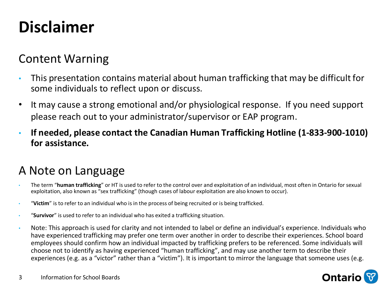# **Disclaimer**

### Content Warning

- This presentation contains material about human trafficking that may be difficult for some individuals to reflect upon or discuss.
- It may cause a strong emotional and/or physiological response. If you need support please reach out to your administrator/supervisor or EAP program.
- **If needed, please contact the Canadian Human Trafficking Hotline (1-833-900-1010) for assistance.**

### A Note on Language

- The term "**human trafficking**" or HT is used to refer to the control over and exploitation of an individual, most often in Ontario for sexual exploitation, also known as "sex trafficking" (though cases of labour exploitation are also known to occur).
- "**Victim**" is to refer to an individual who is in the process of being recruited or is being trafficked.
- "**Survivor**" is used to refer to an individual who has exited a trafficking situation.
- Note: This approach is used for clarity and not intended to label or define an individual's experience. Individuals who have experienced trafficking may prefer one term over another in order to describe their experiences. School board employees should confirm how an individual impacted by trafficking prefers to be referenced. Some individuals will choose not to identify as having experienced "human trafficking", and may use another term to describe their experiences (e.g. as a "victor" rather than a "victim"). It is important to mirror the language that someone uses (e.g.

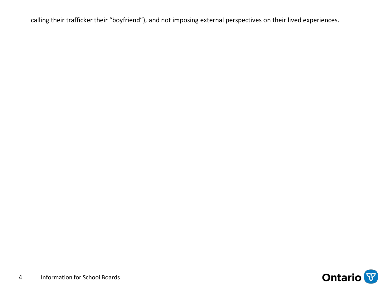calling their trafficker their "boyfriend"), and not imposing external perspectives on their lived experiences.

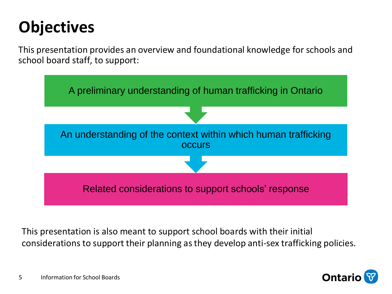# **Objectives**

This presentation provides an overview and foundational knowledge for schools and school board staff, to support:



This presentation is also meant to support school boards with their initial considerations to support their planning asthey develop anti-sex trafficking policies.

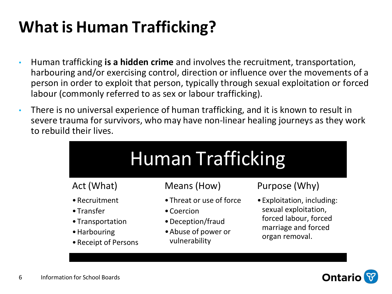# **What is Human Trafficking?**

- Human trafficking **is a hidden crime** and involves the recruitment, transportation, harbouring and/or exercising control, direction or influence over the movements of a person in order to exploit that person, typically through sexual exploitation or forced labour (commonly referred to as sex or labour trafficking).
- There is no universal experience of human trafficking, and it is known to result in severe trauma for survivors, who may have non-linear healing journeys as they work to rebuild their lives.

| <b>Human Trafficking</b>                                                                        |                                                                                                     |                                                                                                                      |  |
|-------------------------------------------------------------------------------------------------|-----------------------------------------------------------------------------------------------------|----------------------------------------------------------------------------------------------------------------------|--|
| Act (What)                                                                                      | Means (How)                                                                                         | Purpose (Why)                                                                                                        |  |
| • Recruitment<br>$\bullet$ Transfer<br>• Transportation<br>• Harbouring<br>• Receipt of Persons | • Threat or use of force<br>• Coercion<br>• Deception/fraud<br>• Abuse of power or<br>vulnerability | • Exploitation, including:<br>sexual exploitation,<br>forced labour, forced<br>marriage and forced<br>organ removal. |  |

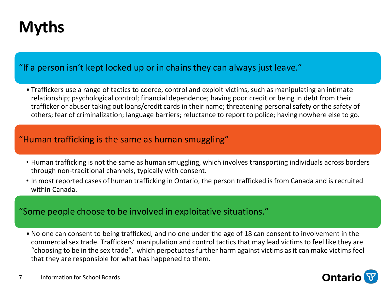# **Myths**

#### "If a person isn't kept locked up or in chains they can always just leave."

• Traffickers use a range of tactics to coerce, control and exploit victims, such as manipulating an intimate relationship; psychological control; financial dependence; having poor credit or being in debt from their trafficker or abuser taking out loans/credit cards in their name; threatening personal safety or the safety of others; fear of criminalization; language barriers; reluctance to report to police; having nowhere else to go.

#### "Human trafficking is the same as human smuggling"

- Human trafficking is not the same as human smuggling, which involves transporting individuals across borders through non-traditional channels, typically with consent.
- In most reported cases of human trafficking in Ontario, the person trafficked is from Canada and is recruited within Canada.

#### "Some people choose to be involved in exploitative situations."

• No one can consent to being trafficked, and no one under the age of 18 can consent to involvement in the commercial sex trade. Traffickers' manipulation and control tacticsthat may lead victims to feel like they are "choosing to be in the sex trade", which perpetuates further harm against victims as it can make victims feel that they are responsible for what has happened to them.

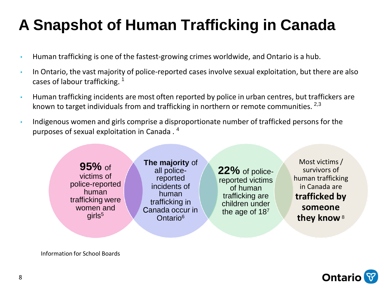## **A Snapshot of Human Trafficking in Canada**

- Human trafficking is one of the fastest-growing crimes worldwide, and Ontario is a hub.
- In Ontario, the vast majority of police-reported cases involve sexual exploitation, but there are also cases of labour trafficking.<sup>1</sup>
- Human trafficking incidents are most often reported by police in urban centres, but traffickers are known to target individuals from and trafficking in northern or remote communities. <sup>2,3</sup>
- Indigenous women and girls comprise a disproportionate number of trafficked persons for the purposes of sexual exploitation in Canada . 4



**Ontario** 

Information for School Boards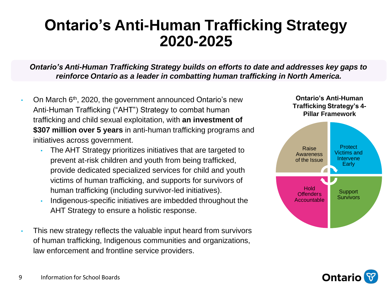### **Ontario's Anti-Human Trafficking Strategy 2020-2025**

*Ontario's Anti-Human Trafficking Strategy builds on efforts to date and addresses key gaps to reinforce Ontario as a leader in combatting human trafficking in North America.*

- On March 6<sup>th</sup>, 2020, the government announced Ontario's new Anti-Human Trafficking ("AHT") Strategy to combat human trafficking and child sexual exploitation, with **an investment of \$307 million over 5 years** in anti-human trafficking programs and initiatives across government.
	- The AHT Strategy prioritizes initiatives that are targeted to prevent at-risk children and youth from being trafficked, provide dedicated specialized services for child and youth victims of human trafficking, and supports for survivors of human trafficking (including survivor-led initiatives).
	- Indigenous-specific initiatives are imbedded throughout the AHT Strategy to ensure a holistic response.
- This new strategy reflects the valuable input heard from survivors of human trafficking, Indigenous communities and organizations, law enforcement and frontline service providers.



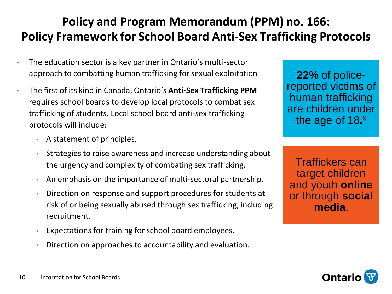### **Policy and Program Memorandum (PPM) no. 166: Policy Framework for School Board Anti-Sex Trafficking Protocols**

- The education sector is a key partner in Ontario's multi-sector approach to combatting human trafficking for sexual exploitation
- The first of its kind in Canada, Ontario's **Anti-Sex Trafficking PPM** requires school boards to develop local protocols to combat sex trafficking of students. Local school board anti-sex trafficking protocols will include:
	- A statement of principles.
	- Strategies to raise awareness and increase understanding about the urgency and complexity of combating sex trafficking.
	- An emphasis on the importance of multi-sectoral partnership.
	- Direction on response and support procedures for students at risk of or being sexually abused through sex trafficking, including recruitment.
	- Expectations for training for school board employees.
	- Direction on approaches to accountability and evaluation.

**22%** of policereported victims of human trafficking are children under the age of 18**.** 9

Traffickers can target children and youth **online** or through **social media**.

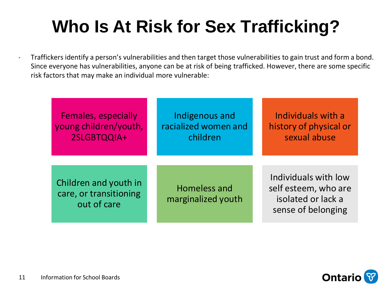# **Who Is At Risk for Sex Trafficking?**

• Traffickers identify a person's vulnerabilities and then target those vulnerabilities to gain trust and form a bond. Since everyone has vulnerabilities, anyone can be at risk of being trafficked. However, there are some specific risk factors that may make an individual more vulnerable:

| <b>Females, especially</b><br>young children/youth,<br>2SLGBTQQIA+ | Indigenous and<br>racialized women and<br>children | Individuals with a<br>history of physical or<br>sexual abuse                             |
|--------------------------------------------------------------------|----------------------------------------------------|------------------------------------------------------------------------------------------|
|                                                                    |                                                    |                                                                                          |
| Children and youth in<br>care, or transitioning<br>out of care     | Homeless and<br>marginalized youth                 | Individuals with low<br>self esteem, who are<br>isolated or lack a<br>sense of belonging |

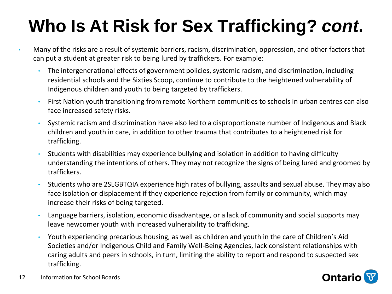# **Who Is At Risk for Sex Trafficking?** *cont***.**

- Many of the risks are a result of systemic barriers, racism, discrimination, oppression, and other factors that can put a student at greater risk to being lured by traffickers. For example:
	- The intergenerational effects of government policies, systemic racism, and discrimination, including residential schools and the Sixties Scoop, continue to contribute to the heightened vulnerability of Indigenous children and youth to being targeted by traffickers.
	- First Nation youth transitioning from remote Northern communities to schools in urban centres can also face increased safety risks.
	- Systemic racism and discrimination have also led to a disproportionate number of Indigenous and Black children and youth in care, in addition to other trauma that contributes to a heightened risk for trafficking.
	- Students with disabilities may experience bullying and isolation in addition to having difficulty understanding the intentions of others. They may not recognize the signs of being lured and groomed by traffickers.
	- Students who are 2SLGBTQIA experience high rates of bullying, assaults and sexual abuse. They may also face isolation or displacement if they experience rejection from family or community, which may increase their risks of being targeted.
	- Language barriers, isolation, economic disadvantage, or a lack of community and social supports may leave newcomer youth with increased vulnerability to trafficking.
	- Youth experiencing precarious housing, as well as children and youth in the care of Children's Aid Societies and/or Indigenous Child and Family Well-Being Agencies, lack consistent relationships with caring adults and peers in schools, in turn, limiting the ability to report and respond to suspected sex trafficking.

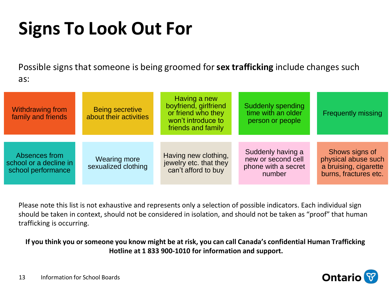# **Signs To Look Out For**

Possible signs that someone is being groomed for**sex trafficking** include changes such as:

| Withdrawing from<br>family and friends                        | <b>Being secretive</b><br>about their activities | Having a new<br>boyfriend, girlfriend<br>or friend who they<br>won't introduce to<br>friends and family | Suddenly spending<br>time with an older<br>person or people              | <b>Frequently missing</b>                                                               |
|---------------------------------------------------------------|--------------------------------------------------|---------------------------------------------------------------------------------------------------------|--------------------------------------------------------------------------|-----------------------------------------------------------------------------------------|
| Absences from<br>school or a decline in<br>school performance | Wearing more<br>sexualized clothing              | Having new clothing,<br>jewelry etc. that they<br>can't afford to buy                                   | Suddenly having a<br>new or second cell<br>phone with a secret<br>number | Shows signs of<br>physical abuse such<br>a bruising, cigarette<br>burns, fractures etc. |

Please note this list is not exhaustive and represents only a selection of possible indicators. Each individual sign should be taken in context, should not be considered in isolation, and should not be taken as "proof" that human trafficking is occurring.

If you think you or someone you know might be at risk, you can call Canada's confidential Human Trafficking **Hotline at 1 833 900-1010 for information and support.**

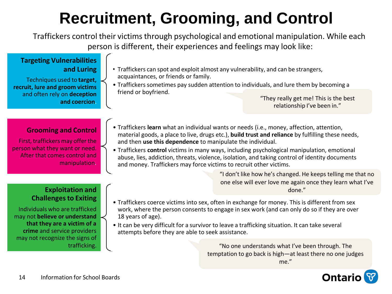# **Recruitment, Grooming, and Control**

Traffickers control their victimsthrough psychological and emotional manipulation. While each person is different, their experiences and feelings may look like:

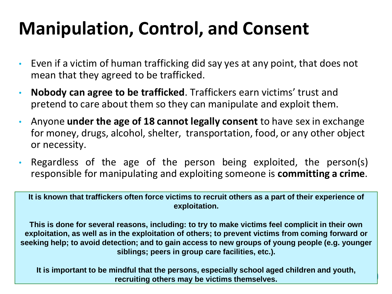# **Manipulation, Control, and Consent**

- Even if a victim of human trafficking did say yes at any point, that does not mean that they agreed to be trafficked.
- **Nobody can agree to be trafficked**. Traffickers earn victims' trust and pretend to care about them so they can manipulate and exploit them.
- Anyone **under the age of 18 cannot legally consent** to have sex in exchange for money, drugs, alcohol, shelter, transportation, food, or any other object or necessity.
- Regardless of the age of the person being exploited, the person(s) responsible for manipulating and exploiting someone is **committing a crime**.

It is known that traffickers often force victims to recruit others as a part of their experience of **exploitation.**

**This is done for several reasons, including: to try to make victims feel complicit in their own exploitation, as well as in the exploitation of others; to prevent victims from coming forward or seeking help; to avoid detection; and to gain access to new groups of young people (e.g. younger siblings; peers in group care facilities, etc.).**

15 Information for School Boards and School Boards and School Boards and School Boards and School Boards and S<br>15 Information for School Boards and School Boards and School Boards and School Boards and School Boards and **It is important to be mindful that the persons, especially school aged children and youth, recruiting others may be victims themselves.**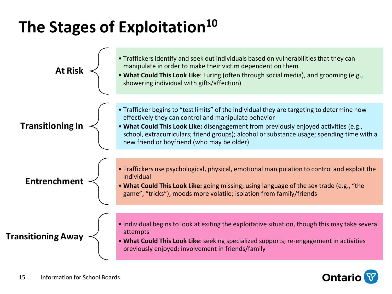# **The Stages of Exploitation<sup>10</sup>**

| <b>At Risk</b>            | • Traffickers identify and seek out individuals based on vulnerabilities that they can<br>manipulate in order to make their victim dependent on them<br>. What Could This Look Like: Luring (often through social media), and grooming (e.g.,<br>showering individual with gifts/affection)                                                                                            |
|---------------------------|----------------------------------------------------------------------------------------------------------------------------------------------------------------------------------------------------------------------------------------------------------------------------------------------------------------------------------------------------------------------------------------|
| <b>Transitioning In</b>   | • Trafficker begins to "test limits" of the individual they are targeting to determine how<br>effectively they can control and manipulate behavior<br>. What Could This Look Like: disengagement from previously enjoyed activities (e.g.,<br>school, extracurriculars; friend groups); alcohol or substance usage; spending time with a<br>new friend or boyfriend (who may be older) |
| Entrenchment              | • Traffickers use psychological, physical, emotional manipulation to control and exploit the<br>individual<br>. What Could This Look Like: going missing; using language of the sex trade (e.g., "the<br>game"; "tricks"); moods more volatile; isolation from family/friends                                                                                                          |
| <b>Transitioning Away</b> | • Individual begins to look at exiting the exploitative situation, though this may take several<br>attempts<br>. What Could This Look Like: seeking specialized supports; re-engagement in activities<br>previously enjoyed; involvement in friends/family                                                                                                                             |

**Ontario**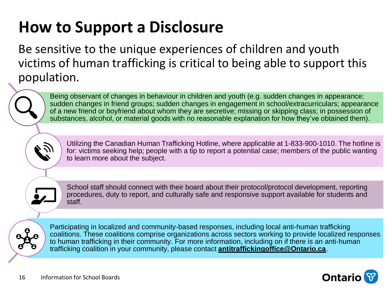# **How to Support a Disclosure**

Be sensitive to the unique experiences of children and youth victims of human trafficking is critical to being able to support this population.

Being observant of changes in behaviour in children and youth (e.g. sudden changes in appearance; sudden changes in friend groups; sudden changes in engagement in school/extracurriculars; appearance of a new friend or boyfriend about whom they are secretive; missing or skipping class; in possession of substances, alcohol, or material goods with no reasonable explanation for how they've obtained them).



Utilizing the Canadian Human Trafficking Hotline, where applicable at 1-833-900-1010. The hotline is for: victims seeking help; people with a tip to report a potential case; members of the public wanting to learn more about the subject.

School staff should connect with their board about their protocol/protocol development, reporting procedures, duty to report, and culturally safe and responsive support available for students and staff.

Participating in localized and community-based responses, including local anti-human trafficking coalitions. These coalitions comprise organizations across sectors working to provide localized responses to human trafficking in their community. For more information, including on if there is an anti-human trafficking coalition in your community, please contact **antitraffickingoffice@Ontario.ca**.



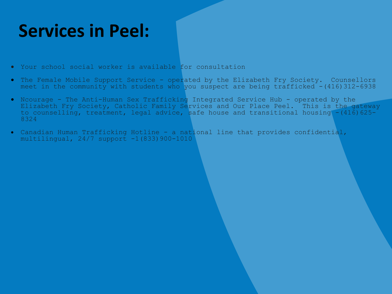# **Services in Peel:**

- Your school social worker is available for consultation
- The Female Mobile Support Service operated by the Elizabeth Fry Society. Counsellors meet in the community with students who you suspect are being trafficked  $-(416)312-6938$
- Ncourage The Anti-Human Sex Trafficking Integrated Service Hub operated by the Elizabeth Fry Society, Catholic Family Services and Our Place Peel. This is the gateway to counselling, treatment, legal advice, safe house and transitional housing -(416)625-8324
- Canadian Human Trafficking Hotline a national line that provides confidential, multilingual, 24/7 support -1(833)900-1010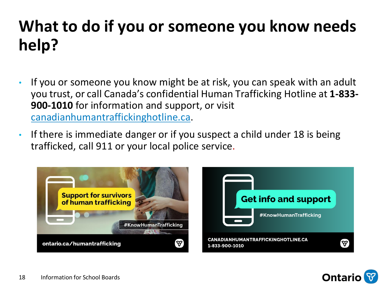# **What to do if you or someone you know needs help?**

- If you or someone you know might be at risk, you can speak with an adult you trust, or call Canada's confidential Human Trafficking Hotline at **1-833- 900-1010** for information and support, or visit canadianhumantraffickinghotline.ca.
- If there is immediate danger or if you suspect a child under 18 is being trafficked, call 911 or your local police service.



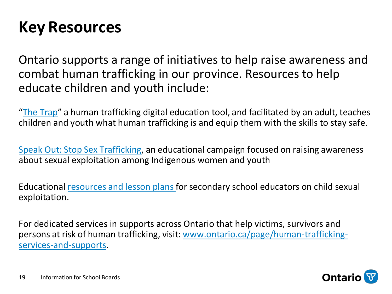## **Key Resources**

Ontario supports a range of initiatives to help raise awareness and combat human trafficking in our province. Resources to help educate children and youth include:

"The Trap" a human trafficking digital education tool, and facilitated by an adult, teaches children and youth what human trafficking is and equip them with the skills to stay safe.

Speak Out: Stop Sex Trafficking, an educational campaign focused on raising awareness about sexual exploitation among Indigenous women and youth

Educational resources and lesson plansfor secondary school educators on child sexual exploitation.

For dedicated services in supports across Ontario that help victims, survivors and persons at risk of human trafficking, visit: www.ontario.ca/page/human-traffickingservices-and-supports.